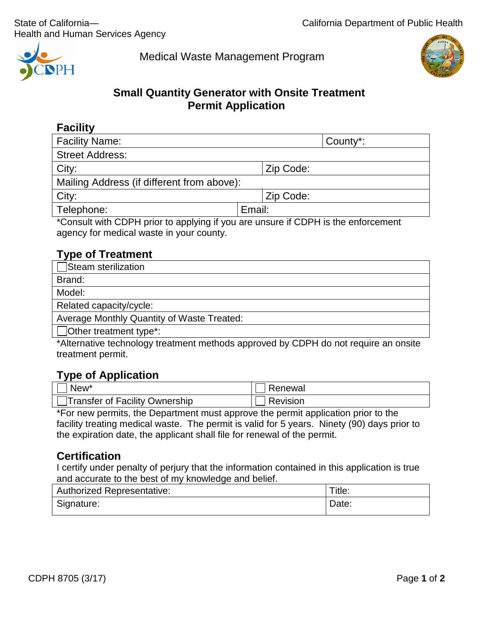

Medical Waste Management Program



# **Small Quantity Generator with Onsite Treatment Permit Application**

| Ш<br>▼<br>П<br>. . |
|--------------------|
|--------------------|

| <b>Facility Name:</b>                                                                                                                                                                                                                                                                                                                                                                                                                                          | County*:                                  |  |  |
|----------------------------------------------------------------------------------------------------------------------------------------------------------------------------------------------------------------------------------------------------------------------------------------------------------------------------------------------------------------------------------------------------------------------------------------------------------------|-------------------------------------------|--|--|
| <b>Street Address:</b>                                                                                                                                                                                                                                                                                                                                                                                                                                         |                                           |  |  |
| City:                                                                                                                                                                                                                                                                                                                                                                                                                                                          | Zip Code:                                 |  |  |
| Mailing Address (if different from above):                                                                                                                                                                                                                                                                                                                                                                                                                     |                                           |  |  |
| City:                                                                                                                                                                                                                                                                                                                                                                                                                                                          | Zip Code:                                 |  |  |
| Telephone:                                                                                                                                                                                                                                                                                                                                                                                                                                                     | Email:                                    |  |  |
| $\mathbf{r}$ $\mathbf{r}$ $\mathbf{r}$ $\mathbf{r}$ $\mathbf{r}$ $\mathbf{r}$ $\mathbf{r}$ $\mathbf{r}$ $\mathbf{r}$ $\mathbf{r}$ $\mathbf{r}$ $\mathbf{r}$ $\mathbf{r}$ $\mathbf{r}$ $\mathbf{r}$ $\mathbf{r}$ $\mathbf{r}$ $\mathbf{r}$ $\mathbf{r}$ $\mathbf{r}$ $\mathbf{r}$ $\mathbf{r}$ $\mathbf{r}$ $\mathbf{r}$ $\mathbf{$<br>.<br><br>the contract of the contract of the contract of the contract of the contract of the contract of the contract of | $\sim$ $\sim$ $\sim$ $\sim$ $\sim$ $\sim$ |  |  |

\*Consult with CDPH prior to applying if you are unsure if CDPH is the enforcement agency for medical waste in your county.

# **Type of Treatment**

| $\Box$ Steam sterilization                 |
|--------------------------------------------|
| Brand:                                     |
| Model:                                     |
| Related capacity/cycle:                    |
| Average Monthly Quantity of Waste Treated: |
| $\Box$ Other treatment type*:              |

\*Alternative technology treatment methods approved by CDPH do not require an onsite treatment permit.

## **Type of Application**

| New <sup>*</sup>               | Renewal  |
|--------------------------------|----------|
| Transfer of Facility Ownership | Revision |

\*For new permits, the Department must approve the permit application prior to the facility treating medical waste. The permit is valid for 5 years. Ninety (90) days prior to the expiration date, the applicant shall file for renewal of the permit.

## **Certification**

I certify under penalty of perjury that the information contained in this application is true and accurate to the best of my knowledge and belief.

| <b>Authorized Representative:</b> | Title: |
|-----------------------------------|--------|
| Signature:                        | Date:  |